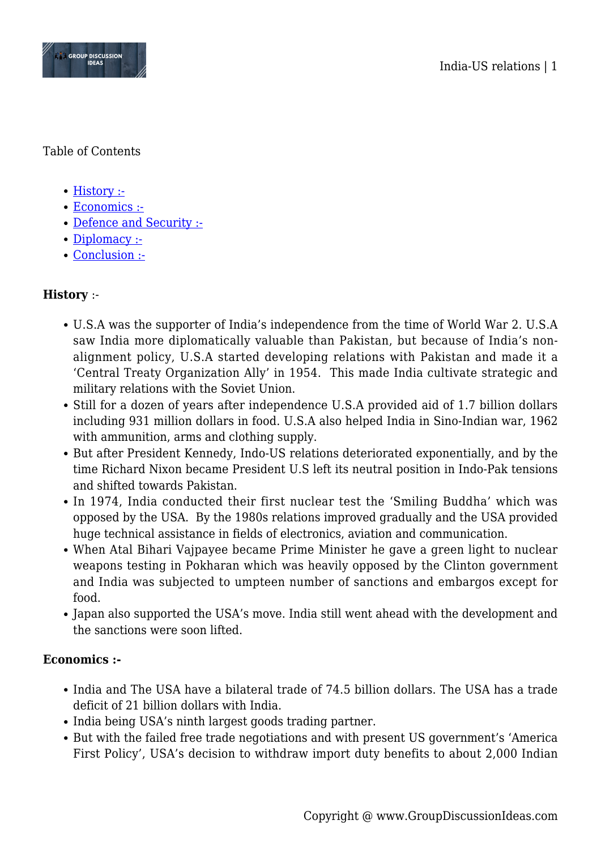



#### Table of Contents

- [History :-](#page--1-0)
- [Economics :-](#page--1-0)
- [Defence and Security :-](#page--1-0)
- [Diplomacy :-](#page--1-0)
- [Conclusion :-](#page--1-0)

# **History** :-

- U.S.A was the supporter of India's independence from the time of World War 2. U.S.A saw India more diplomatically valuable than Pakistan, but because of India's nonalignment policy, U.S.A started developing relations with Pakistan and made it a 'Central Treaty Organization Ally' in 1954. This made India cultivate strategic and military relations with the Soviet Union.
- Still for a dozen of years after independence U.S.A provided aid of 1.7 billion dollars including 931 million dollars in food. U.S.A also helped India in Sino-Indian war, 1962 with ammunition, arms and clothing supply.
- But after President Kennedy, Indo-US relations deteriorated exponentially, and by the time Richard Nixon became President U.S left its neutral position in Indo-Pak tensions and shifted towards Pakistan.
- In 1974, India conducted their first nuclear test the 'Smiling Buddha' which was opposed by the USA. By the 1980s relations improved gradually and the USA provided huge technical assistance in fields of electronics, aviation and communication.
- When Atal Bihari Vajpayee became Prime Minister he gave a green light to nuclear weapons testing in Pokharan which was heavily opposed by the Clinton government and India was subjected to umpteen number of sanctions and embargos except for food.
- Japan also supported the USA's move. India still went ahead with the development and the sanctions were soon lifted.

## **Economics :-**

- India and The USA have a bilateral trade of 74.5 billion dollars. The USA has a trade deficit of 21 billion dollars with India.
- India being USA's ninth largest goods trading partner.
- But with the failed free trade negotiations and with present US government's 'America First Policy', USA's decision to withdraw import duty benefits to about 2,000 Indian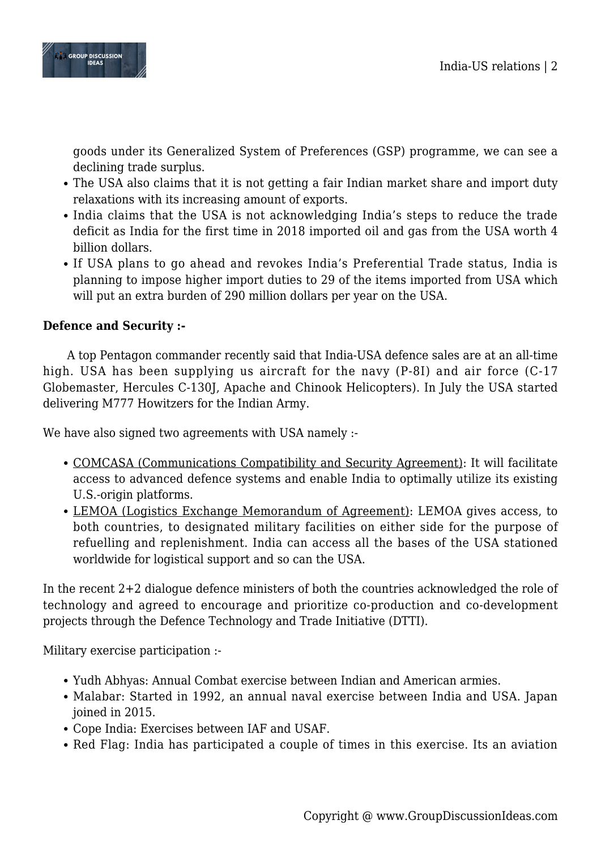

goods under its Generalized System of Preferences (GSP) programme, we can see a declining trade surplus.

- The USA also claims that it is not getting a fair Indian market share and import duty relaxations with its increasing amount of exports.
- India claims that the USA is not acknowledging India's steps to reduce the trade deficit as India for the first time in 2018 imported oil and gas from the USA worth 4 billion dollars.
- If USA plans to go ahead and revokes India's Preferential Trade status, India is planning to impose higher import duties to 29 of the items imported from USA which will put an extra burden of 290 million dollars per year on the USA.

### **Defence and Security :-**

A top Pentagon commander recently said that India-USA defence sales are at an all-time high. USA has been supplying us aircraft for the navy (P-8I) and air force (C-17 Globemaster, Hercules C-130J, Apache and Chinook Helicopters). In July the USA started delivering M777 Howitzers for the Indian Army.

We have also signed two agreements with USA namely :-

- COMCASA (Communications Compatibility and Security Agreement): It will facilitate access to advanced defence systems and enable India to optimally utilize its existing U.S.-origin platforms.
- LEMOA (Logistics Exchange Memorandum of Agreement): LEMOA gives access, to both countries, to designated military facilities on either side for the purpose of refuelling and replenishment. India can access all the bases of the USA stationed worldwide for logistical support and so can the USA.

In the recent 2+2 dialogue defence ministers of both the countries acknowledged the role of technology and agreed to encourage and prioritize co-production and co-development projects through the Defence Technology and Trade Initiative (DTTI).

Military exercise participation :-

- Yudh Abhyas: Annual Combat exercise between Indian and American armies.
- Malabar: Started in 1992, an annual naval exercise between India and USA. Japan joined in 2015.
- Cope India: Exercises between IAF and USAF.
- Red Flag: India has participated a couple of times in this exercise. Its an aviation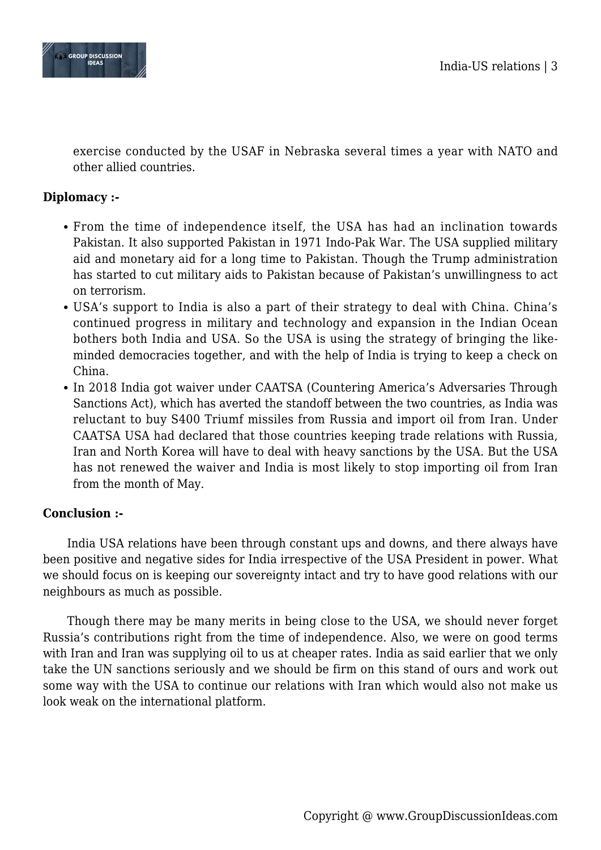

exercise conducted by the USAF in Nebraska several times a year with NATO and other allied countries.

## **Diplomacy :-**

- From the time of independence itself, the USA has had an inclination towards Pakistan. It also supported Pakistan in 1971 Indo-Pak War. The USA supplied military aid and monetary aid for a long time to Pakistan. Though the Trump administration has started to cut military aids to Pakistan because of Pakistan's unwillingness to act on terrorism.
- USA's support to India is also a part of their strategy to deal with China. China's continued progress in military and technology and expansion in the Indian Ocean bothers both India and USA. So the USA is using the strategy of bringing the likeminded democracies together, and with the help of India is trying to keep a check on China.
- In 2018 India got waiver under CAATSA (Countering America's Adversaries Through Sanctions Act), which has averted the standoff between the two countries, as India was reluctant to buy S400 Triumf missiles from Russia and import oil from Iran. Under CAATSA USA had declared that those countries keeping trade relations with Russia, Iran and North Korea will have to deal with heavy sanctions by the USA. But the USA has not renewed the waiver and India is most likely to stop importing oil from Iran from the month of May.

#### **Conclusion :-**

India USA relations have been through constant ups and downs, and there always have been positive and negative sides for India irrespective of the USA President in power. What we should focus on is keeping our sovereignty intact and try to have good relations with our neighbours as much as possible.

Though there may be many merits in being close to the USA, we should never forget Russia's contributions right from the time of independence. Also, we were on good terms with Iran and Iran was supplying oil to us at cheaper rates. India as said earlier that we only take the UN sanctions seriously and we should be firm on this stand of ours and work out some way with the USA to continue our relations with Iran which would also not make us look weak on the international platform.